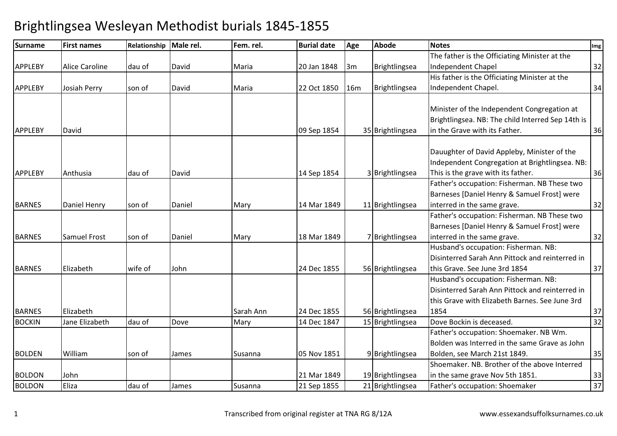#### Surname First names Relationship Male rel. Fem. rel. Burial date Age Abode Notes Img APPLEBY Alice Caroline dau of David Maria 20 Jan 1848 3m Brightlingsea The father is the Officiating Minister at the Independent Chapel 32APPLEBY Josiah Perry son of David Maria 22 Oct 1850 16m Brightlingsea His father is the Officiating Minister at the Independent Chapel. 34APPLEBY David 09 Sep 1854 <sup>35</sup> Brightlingsea Minister of the Independent Congregation at Brightlingsea. NB: The child Interred Sep 14th is in the Grave with its Father.. 36 APPLEBY Anthusia dau of David 14 Sep 1854 3 Brightlingsea Dauughter of David Appleby, Minister of the Independent Congregation at Brightlingsea. NB: This is the grave with its father. 36BARNES Daniel Henry son of Daniel Mary 14 Mar 1849 11 Brightlingsea Father's occupation: Fisherman. NB These two Barneses [Daniel Henry & Samuel Frost] were interred in the same grave. 32BARNES | Samuel Frost | son of | Daniel | Mary | 18 Mar 1849 | 7| Brightlingsea Father's occupation: Fisherman. NB These two Barneses [Daniel Henry & Samuel Frost] were interred in the same grave. 32BARNES Flizabeth wife of John 1998 124 Dec 1855 56 Brightlingsea Husband's occupation: Fisherman. NB: Disinterred Sarah Ann Pittock and reinterred in this Grave. See June 3rd 18544 37 BARNES Elizabeth Sarah Ann 24 Dec 1855 <sup>56</sup> Brightlingsea Husband's occupation: Fisherman. NB: Disinterred Sarah Ann Pittock and reinterred in this Grave with Elizabeth Barnes. See June 3rd 18544 37  $32$ BOCKINN Jane Elizabeth dau of Dove Mary 14 Dec 1847 15 Brightlingsea Dove Bockin is deceased. 32 BOLDEN William son of James Susanna 105 Nov 1851 9 Brightlingsea Father's occupation: Shoemaker. NB Wm. Bolden was Interred in the same Grave as John Bolden, see March 21st 1849. 35BOLDON JohnFiliza 19 Brightlingsea (dau of Filiames Susanna 121 Mar 1849 | 19 Brightlingsea (dau of Filiames Susanna 121 Sep 1855 | 21 Brightlingsea Shoemaker. NB. Brother of the above Interred in the same grave Nov 5th 1851. 33 $\overline{37}$ BOLDONEliza dau of James Susanna 21 Sep 1855 <sup>21</sup> Brightlingsea Father's occupation: Shoemaker <sup>37</sup>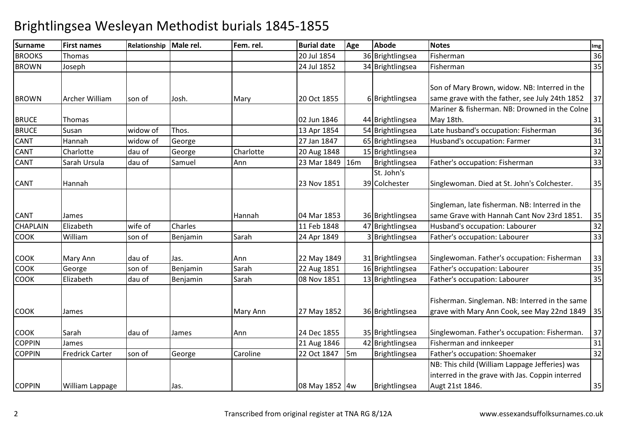| <b>Surname</b>  | <b>First names</b>     | Relationship Male rel. |          | Fem. rel. | <b>Burial date</b> | Age            | <b>Abode</b>     | <b>Notes</b>                                    | Img |
|-----------------|------------------------|------------------------|----------|-----------|--------------------|----------------|------------------|-------------------------------------------------|-----|
| <b>BROOKS</b>   | Thomas                 |                        |          |           | 20 Jul 1854        |                | 36 Brightlingsea | Fisherman                                       | 36  |
| <b>BROWN</b>    | Joseph                 |                        |          |           | 24 Jul 1852        |                | 34 Brightlingsea | Fisherman                                       | 35  |
|                 |                        |                        |          |           |                    |                |                  |                                                 |     |
|                 |                        |                        |          |           |                    |                |                  | Son of Mary Brown, widow. NB: Interred in the   |     |
| <b>BROWN</b>    | Archer William         | son of                 | Josh.    | Mary      | 20 Oct 1855        |                | 6 Brightlingsea  | same grave with the father, see July 24th 1852  | 37  |
|                 |                        |                        |          |           |                    |                |                  | Mariner & fisherman. NB: Drowned in the Colne   |     |
| <b>BRUCE</b>    | Thomas                 |                        |          |           | 02 Jun 1846        |                | 44 Brightlingsea | May 18th.                                       | 31  |
| <b>BRUCE</b>    | Susan                  | widow of               | Thos.    |           | 13 Apr 1854        |                | 54 Brightlingsea | Late husband's occupation: Fisherman            | 36  |
| <b>CANT</b>     | Hannah                 | widow of               | George   |           | 27 Jan 1847        |                | 65 Brightlingsea | Husband's occupation: Farmer                    | 31  |
| <b>CANT</b>     | Charlotte              | dau of                 | George   | Charlotte | 20 Aug 1848        |                | 15 Brightlingsea |                                                 | 32  |
| <b>CANT</b>     | Sarah Ursula           | dau of                 | Samuel   | Ann       | 23 Mar 1849        | <b>16m</b>     | Brightlingsea    | Father's occupation: Fisherman                  | 33  |
|                 |                        |                        |          |           |                    |                | St. John's       |                                                 |     |
| <b>CANT</b>     | Hannah                 |                        |          |           | 23 Nov 1851        |                | 39 Colchester    | Singlewoman. Died at St. John's Colchester.     | 35  |
|                 |                        |                        |          |           |                    |                |                  |                                                 |     |
|                 |                        |                        |          |           |                    |                |                  | Singleman, late fisherman. NB: Interred in the  |     |
| <b>CANT</b>     | James                  |                        |          | Hannah    | 04 Mar 1853        |                | 36 Brightlingsea | same Grave with Hannah Cant Nov 23rd 1851.      | 35  |
| <b>CHAPLAIN</b> | Elizabeth              | wife of                | Charles  |           | 11 Feb 1848        |                | 47 Brightlingsea | Husband's occupation: Labourer                  | 32  |
| <b>COOK</b>     | William                | son of                 | Benjamin | Sarah     | 24 Apr 1849        |                | 3 Brightlingsea  | Father's occupation: Labourer                   | 33  |
|                 |                        |                        |          |           |                    |                |                  |                                                 |     |
| <b>COOK</b>     | Mary Ann               | dau of                 | Jas.     | Ann       | 22 May 1849        |                | 31 Brightlingsea | Singlewoman. Father's occupation: Fisherman     | 33  |
| <b>COOK</b>     | George                 | son of                 | Benjamin | Sarah     | 22 Aug 1851        |                | 16 Brightlingsea | Father's occupation: Labourer                   | 35  |
| <b>COOK</b>     | Elizabeth              | dau of                 | Benjamin | Sarah     | 08 Nov 1851        |                | 13 Brightlingsea | Father's occupation: Labourer                   | 35  |
|                 |                        |                        |          |           |                    |                |                  |                                                 |     |
|                 |                        |                        |          |           |                    |                |                  | Fisherman. Singleman. NB: Interred in the same  |     |
| <b>COOK</b>     | James                  |                        |          | Mary Ann  | 27 May 1852        |                | 36 Brightlingsea | grave with Mary Ann Cook, see May 22nd 1849     | 35  |
|                 |                        |                        |          |           |                    |                |                  |                                                 |     |
| <b>COOK</b>     | Sarah                  | dau of                 | James    | Ann       | 24 Dec 1855        |                | 35 Brightlingsea | Singlewoman. Father's occupation: Fisherman.    | 37  |
| <b>COPPIN</b>   | James                  |                        |          |           | 21 Aug 1846        |                | 42 Brightlingsea | Fisherman and innkeeper                         | 31  |
| <b>COPPIN</b>   | <b>Fredrick Carter</b> | son of                 | George   | Caroline  | 22 Oct 1847        | $\mathsf{I5m}$ | Brightlingsea    | Father's occupation: Shoemaker                  | 32  |
|                 |                        |                        |          |           |                    |                |                  | NB: This child (William Lappage Jefferies) was  |     |
|                 |                        |                        |          |           |                    |                |                  | interred in the grave with Jas. Coppin interred |     |
| <b>COPPIN</b>   | William Lappage        |                        | Jas.     |           | 08 May 1852 4w     |                | Brightlingsea    | Augt 21st 1846.                                 | 35  |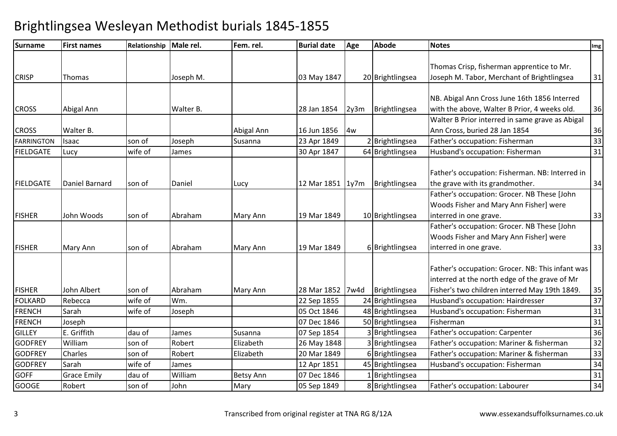| Surname           | <b>First names</b> | Relationship Male rel. |           | Fem. rel.        | <b>Burial date</b> | Age  | <b>Abode</b>     | <b>Notes</b>                                     | Img |
|-------------------|--------------------|------------------------|-----------|------------------|--------------------|------|------------------|--------------------------------------------------|-----|
|                   |                    |                        |           |                  |                    |      |                  |                                                  |     |
|                   |                    |                        |           |                  |                    |      |                  | Thomas Crisp, fisherman apprentice to Mr.        |     |
| <b>CRISP</b>      | Thomas             |                        | Joseph M. |                  | 03 May 1847        |      | 20 Brightlingsea | Joseph M. Tabor, Merchant of Brightlingsea       | 31  |
|                   |                    |                        |           |                  |                    |      |                  |                                                  |     |
|                   |                    |                        |           |                  |                    |      |                  | NB. Abigal Ann Cross June 16th 1856 Interred     |     |
| <b>CROSS</b>      | Abigal Ann         |                        | Walter B. |                  | 28 Jan 1854        | 2y3m | Brightlingsea    | with the above, Walter B Prior, 4 weeks old.     | 36  |
|                   |                    |                        |           |                  |                    |      |                  | Walter B Prior interred in same grave as Abigal  |     |
| <b>CROSS</b>      | Walter B.          |                        |           | Abigal Ann       | 16 Jun 1856        | 4w   |                  | Ann Cross, buried 28 Jan 1854                    | 36  |
| <b>FARRINGTON</b> | Isaac              | son of                 | Joseph    | Susanna          | 23 Apr 1849        |      | 2 Brightlingsea  | Father's occupation: Fisherman                   | 33  |
| <b>FIELDGATE</b>  | Lucy               | wife of                | James     |                  | 30 Apr 1847        |      | 64 Brightlingsea | Husband's occupation: Fisherman                  | 31  |
|                   |                    |                        |           |                  |                    |      |                  |                                                  |     |
|                   |                    |                        |           |                  |                    |      |                  | Father's occupation: Fisherman. NB: Interred in  |     |
| <b>FIELDGATE</b>  | Daniel Barnard     | son of                 | Daniel    | Lucy             | 12 Mar 1851   1y7m |      | Brightlingsea    | the grave with its grandmother.                  | 34  |
|                   |                    |                        |           |                  |                    |      |                  | Father's occupation: Grocer. NB These [John      |     |
|                   |                    |                        |           |                  |                    |      |                  | Woods Fisher and Mary Ann Fisher] were           |     |
| <b>FISHER</b>     | John Woods         | son of                 | Abraham   | Mary Ann         | 19 Mar 1849        |      | 10 Brightlingsea | interred in one grave.                           | 33  |
|                   |                    |                        |           |                  |                    |      |                  | Father's occupation: Grocer. NB These [John      |     |
|                   |                    |                        |           |                  |                    |      |                  | Woods Fisher and Mary Ann Fisher] were           |     |
| <b>FISHER</b>     | Mary Ann           | son of                 | Abraham   | Mary Ann         | 19 Mar 1849        |      | 6 Brightlingsea  | interred in one grave.                           | 33  |
|                   |                    |                        |           |                  |                    |      |                  |                                                  |     |
|                   |                    |                        |           |                  |                    |      |                  | Father's occupation: Grocer. NB: This infant was |     |
|                   |                    |                        |           |                  |                    |      |                  | interred at the north edge of the grave of Mr    |     |
| <b>FISHER</b>     | <b>John Albert</b> | son of                 | Abraham   | Mary Ann         | 28 Mar 1852 7w4d   |      | Brightlingsea    | Fisher's two children interred May 19th 1849.    | 35  |
| <b>FOLKARD</b>    | Rebecca            | wife of                | Wm.       |                  | 22 Sep 1855        |      | 24 Brightlingsea | Husband's occupation: Hairdresser                | 37  |
| <b>FRENCH</b>     | Sarah              | wife of                | Joseph    |                  | 05 Oct 1846        |      | 48 Brightlingsea | Husband's occupation: Fisherman                  | 31  |
| <b>FRENCH</b>     | Joseph             |                        |           |                  | 07 Dec 1846        |      | 50 Brightlingsea | Fisherman                                        | 31  |
| <b>GILLEY</b>     | E. Griffith        | dau of                 | James     | Susanna          | 07 Sep 1854        |      | 3 Brightlingsea  | Father's occupation: Carpenter                   | 36  |
| <b>GODFREY</b>    | William            | son of                 | Robert    | Elizabeth        | 26 May 1848        |      | 3 Brightlingsea  | Father's occupation: Mariner & fisherman         | 32  |
| <b>GODFREY</b>    | Charles            | son of                 | Robert    | Elizabeth        | 20 Mar 1849        |      | 6 Brightlingsea  | Father's occupation: Mariner & fisherman         | 33  |
| <b>GODFREY</b>    | Sarah              | wife of                | James     |                  | 12 Apr 1851        |      | 45 Brightlingsea | Husband's occupation: Fisherman                  | 34  |
| <b>GOFF</b>       | <b>Grace Emily</b> | dau of                 | William   | <b>Betsy Ann</b> | 07 Dec 1846        |      | 1 Brightlingsea  |                                                  | 31  |
| <b>GOOGE</b>      | Robert             | son of                 | John      | Mary             | 05 Sep 1849        |      | 8 Brightlingsea  | Father's occupation: Labourer                    | 34  |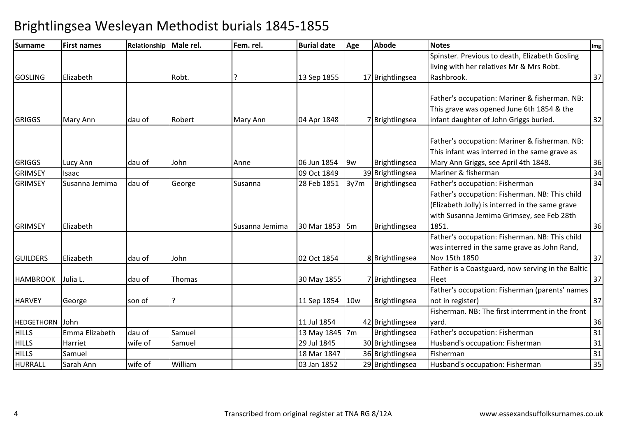| <b>Surname</b>  | <b>First names</b> | Relationship Male rel. |         | Fem. rel.      | <b>Burial date</b> | Age        | <b>Abode</b>     | <b>Notes</b>                                      | Img |
|-----------------|--------------------|------------------------|---------|----------------|--------------------|------------|------------------|---------------------------------------------------|-----|
|                 |                    |                        |         |                |                    |            |                  | Spinster. Previous to death, Elizabeth Gosling    |     |
|                 |                    |                        |         |                |                    |            |                  | living with her relatives Mr & Mrs Robt.          |     |
| <b>GOSLING</b>  | Elizabeth          |                        | Robt.   |                | 13 Sep 1855        |            | 17 Brightlingsea | Rashbrook.                                        | 37  |
|                 |                    |                        |         |                |                    |            |                  |                                                   |     |
|                 |                    |                        |         |                |                    |            |                  | Father's occupation: Mariner & fisherman. NB:     |     |
|                 |                    |                        |         |                |                    |            |                  | This grave was opened June 6th 1854 & the         |     |
| <b>GRIGGS</b>   | Mary Ann           | dau of                 | Robert  | Mary Ann       | 04 Apr 1848        |            | 7 Brightlingsea  | infant daughter of John Griggs buried.            | 32  |
|                 |                    |                        |         |                |                    |            |                  |                                                   |     |
|                 |                    |                        |         |                |                    |            |                  | Father's occupation: Mariner & fisherman. NB:     |     |
|                 |                    |                        |         |                |                    |            |                  | This infant was interred in the same grave as     |     |
| <b>GRIGGS</b>   | Lucy Ann           | dau of                 | John    | Anne           | 06 Jun 1854        | 9w         | Brightlingsea    | Mary Ann Griggs, see April 4th 1848.              | 36  |
| <b>GRIMSEY</b>  | Isaac              |                        |         |                | 09 Oct 1849        |            | 39 Brightlingsea | Mariner & fisherman                               | 34  |
| <b>GRIMSEY</b>  | Susanna Jemima     | dau of                 | George  | Susanna        | 28 Feb 1851        | 3y7m       | Brightlingsea    | Father's occupation: Fisherman                    | 34  |
|                 |                    |                        |         |                |                    |            |                  | Father's occupation: Fisherman. NB: This child    |     |
|                 |                    |                        |         |                |                    |            |                  | (Elizabeth Jolly) is interred in the same grave   |     |
|                 |                    |                        |         |                |                    |            |                  | with Susanna Jemima Grimsey, see Feb 28th         |     |
| <b>GRIMSEY</b>  | Elizabeth          |                        |         | Susanna Jemima | 30 Mar 1853 5m     |            | Brightlingsea    | 1851.                                             | 36  |
|                 |                    |                        |         |                |                    |            |                  | Father's occupation: Fisherman. NB: This child    |     |
|                 |                    |                        |         |                |                    |            |                  | was interred in the same grave as John Rand,      |     |
| <b>GUILDERS</b> | Elizabeth          | dau of                 | John    |                | 02 Oct 1854        |            | 8 Brightlingsea  | Nov 15th 1850                                     | 37  |
|                 |                    |                        |         |                |                    |            |                  | Father is a Coastguard, now serving in the Baltic |     |
| <b>HAMBROOK</b> | Julia L.           | dau of                 | Thomas  |                | 30 May 1855        |            | 7 Brightlingsea  | Fleet                                             | 37  |
|                 |                    |                        |         |                |                    |            |                  | Father's occupation: Fisherman (parents' names    |     |
| <b>HARVEY</b>   | George             | son of                 | ?       |                | 11 Sep 1854        | <b>10w</b> | Brightlingsea    | not in register)                                  | 37  |
|                 |                    |                        |         |                |                    |            |                  | Fisherman. NB: The first interrment in the front  |     |
| HEDGETHORN      | John               |                        |         |                | 11 Jul 1854        |            | 42 Brightlingsea | vard.                                             | 36  |
| <b>HILLS</b>    | Emma Elizabeth     | dau of                 | Samuel  |                | 13 May 1845 7m     |            | Brightlingsea    | Father's occupation: Fisherman                    | 31  |
| <b>HILLS</b>    | Harriet            | wife of                | Samuel  |                | 29 Jul 1845        |            | 30 Brightlingsea | Husband's occupation: Fisherman                   | 31  |
| <b>HILLS</b>    | Samuel             |                        |         |                | 18 Mar 1847        |            | 36 Brightlingsea | Fisherman                                         | 31  |
| HURRALL         | Sarah Ann          | wife of                | William |                | 03 Jan 1852        |            | 29 Brightlingsea | Husband's occupation: Fisherman                   | 35  |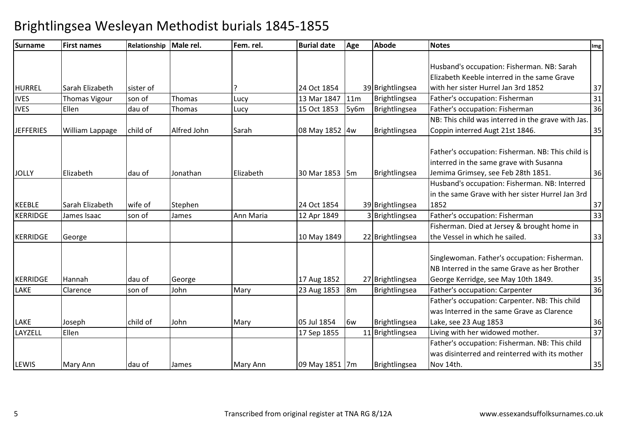| <b>Surname</b>   | <b>First names</b>     | Relationship Male rel. |             | Fem. rel. | <b>Burial date</b> | Age  | <b>Abode</b>     | <b>Notes</b>                                       | Img             |
|------------------|------------------------|------------------------|-------------|-----------|--------------------|------|------------------|----------------------------------------------------|-----------------|
|                  |                        |                        |             |           |                    |      |                  |                                                    |                 |
|                  |                        |                        |             |           |                    |      |                  | Husband's occupation: Fisherman. NB: Sarah         |                 |
|                  |                        |                        |             |           |                    |      |                  | Elizabeth Keeble interred in the same Grave        |                 |
| HURREL           | Sarah Elizabeth        | sister of              |             |           | 24 Oct 1854        |      | 39 Brightlingsea | with her sister Hurrel Jan 3rd 1852                | 37              |
| <b>IVES</b>      | <b>Thomas Vigour</b>   | son of                 | Thomas      | Lucy      | 13 Mar 1847   11m  |      | Brightlingsea    | Father's occupation: Fisherman                     | 31              |
| <b>IVES</b>      | Ellen                  | dau of                 | Thomas      | Lucy      | 15 Oct 1853        | 5y6m | Brightlingsea    | Father's occupation: Fisherman                     | 36              |
|                  |                        |                        |             |           |                    |      |                  | NB: This child was interred in the grave with Jas. |                 |
| <b>JEFFERIES</b> | <b>William Lappage</b> | child of               | Alfred John | Sarah     | 08 May 1852 4w     |      | Brightlingsea    | Coppin interred Augt 21st 1846.                    | 35              |
|                  |                        |                        |             |           |                    |      |                  |                                                    |                 |
|                  |                        |                        |             |           |                    |      |                  | Father's occupation: Fisherman. NB: This child is  |                 |
|                  |                        |                        |             |           |                    |      |                  | interred in the same grave with Susanna            |                 |
| <b>JOLLY</b>     | Elizabeth              | dau of                 | Jonathan    | Elizabeth | 30 Mar 1853 5m     |      | Brightlingsea    | Jemima Grimsey, see Feb 28th 1851.                 | 36              |
|                  |                        |                        |             |           |                    |      |                  | Husband's occupation: Fisherman. NB: Interred      |                 |
|                  |                        |                        |             |           |                    |      |                  | in the same Grave with her sister Hurrel Jan 3rd   |                 |
| <b>KEEBLE</b>    | Sarah Elizabeth        | wife of                | Stephen     |           | 24 Oct 1854        |      | 39 Brightlingsea | 1852                                               | 37              |
| <b>KERRIDGE</b>  | James Isaac            | son of                 | James       | Ann Maria | 12 Apr 1849        |      | 3 Brightlingsea  | Father's occupation: Fisherman                     | $\overline{33}$ |
|                  |                        |                        |             |           |                    |      |                  | Fisherman. Died at Jersey & brought home in        |                 |
| <b>KERRIDGE</b>  | George                 |                        |             |           | 10 May 1849        |      | 22 Brightlingsea | the Vessel in which he sailed.                     | 33              |
|                  |                        |                        |             |           |                    |      |                  |                                                    |                 |
|                  |                        |                        |             |           |                    |      |                  | Singlewoman. Father's occupation: Fisherman.       |                 |
|                  |                        |                        |             |           |                    |      |                  | NB Interred in the same Grave as her Brother       |                 |
| KERRIDGE         | Hannah                 | dau of                 | George      |           | 17 Aug 1852        |      | 27 Brightlingsea | George Kerridge, see May 10th 1849.                | 35              |
| LAKE             | Clarence               | son of                 | John        | Mary      | 23 Aug 1853 8m     |      | Brightlingsea    | Father's occupation: Carpenter                     | 36              |
|                  |                        |                        |             |           |                    |      |                  | Father's occupation: Carpenter. NB: This child     |                 |
|                  |                        |                        |             |           |                    |      |                  | was Interred in the same Grave as Clarence         |                 |
| LAKE             | Joseph                 | child of               | John        | Mary      | 05 Jul 1854        | 6w   | Brightlingsea    | Lake, see 23 Aug 1853                              | 36              |
| LAYZELL          | Ellen                  |                        |             |           | 17 Sep 1855        |      | 11 Brightlingsea | Living with her widowed mother.                    | $\overline{37}$ |
|                  |                        |                        |             |           |                    |      |                  | Father's occupation: Fisherman. NB: This child     |                 |
|                  |                        |                        |             |           |                    |      |                  | was disinterred and reinterred with its mother     |                 |
| <b>LEWIS</b>     | Mary Ann               | dau of                 | James       | Mary Ann  | 09 May 1851 7m     |      | Brightlingsea    | Nov 14th.                                          | 35              |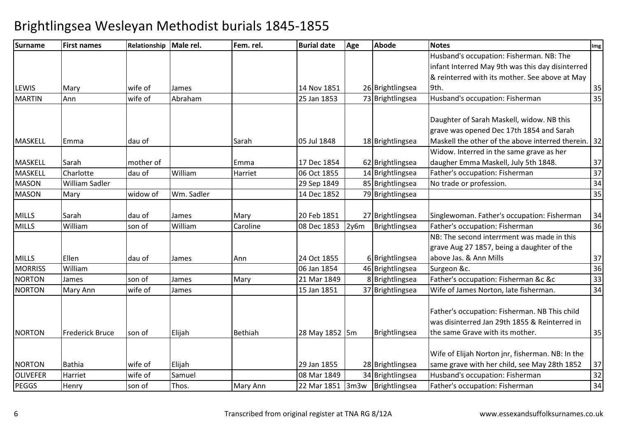| <b>Surname</b>  | <b>First names</b>     | Relationship Male rel. |            | Fem. rel.      | <b>Burial date</b> | Age  | <b>Abode</b>       | <b>Notes</b>                                                                                   | Img             |
|-----------------|------------------------|------------------------|------------|----------------|--------------------|------|--------------------|------------------------------------------------------------------------------------------------|-----------------|
|                 |                        |                        |            |                |                    |      |                    | Husband's occupation: Fisherman. NB: The                                                       |                 |
|                 |                        |                        |            |                |                    |      |                    | infant Interred May 9th was this day disinterred                                               |                 |
|                 |                        |                        |            |                |                    |      |                    | & reinterred with its mother. See above at May                                                 |                 |
| <b>LEWIS</b>    | Mary                   | wife of                | James      |                | 14 Nov 1851        |      | 26 Brightlingsea   | 9th.                                                                                           | 35              |
| <b>MARTIN</b>   | Ann                    | wife of                | Abraham    |                | 25 Jan 1853        |      | 73 Brightlingsea   | Husband's occupation: Fisherman                                                                | $\overline{35}$ |
|                 |                        |                        |            |                |                    |      |                    | Daughter of Sarah Maskell, widow. NB this                                                      |                 |
| <b>MASKELL</b>  | Emma                   | dau of                 |            | Sarah          | 05 Jul 1848        |      | 18 Brightlingsea   | grave was opened Dec 17th 1854 and Sarah<br>Maskell the other of the above interred therein.   | $32$            |
|                 |                        |                        |            |                |                    |      |                    | Widow. Interred in the same grave as her                                                       |                 |
| <b>MASKELL</b>  | Sarah                  | mother of              |            | Emma           | 17 Dec 1854        |      | 62 Brightlingsea   | daugher Emma Maskell, July 5th 1848.                                                           | 37              |
| MASKELL         | Charlotte              | dau of                 | William    | Harriet        | 06 Oct 1855        |      | 14 Brightlingsea   | Father's occupation: Fisherman                                                                 | $\overline{37}$ |
| <b>MASON</b>    | William Sadler         |                        |            |                | 29 Sep 1849        |      | 85 Brightlingsea   | No trade or profession.                                                                        | 34              |
| <b>MASON</b>    | Mary                   | widow of               | Wm. Sadler |                | 14 Dec 1852        |      | 79 Brightlingsea   |                                                                                                | 35              |
| <b>MILLS</b>    | Sarah                  | dau of                 | James      | Mary           | 20 Feb 1851        |      | 27 Brightlingsea   | Singlewoman. Father's occupation: Fisherman                                                    | 34              |
| <b>MILLS</b>    | William                | son of                 | William    | Caroline       | 08 Dec 1853        | 2y6m | Brightlingsea      | Father's occupation: Fisherman                                                                 | 36              |
|                 |                        |                        |            |                |                    |      |                    | NB: The second interrment was made in this                                                     |                 |
|                 |                        |                        |            |                |                    |      |                    | grave Aug 27 1857, being a daughter of the                                                     |                 |
| <b>MILLS</b>    | Ellen                  | dau of                 | James      | Ann            | 24 Oct 1855        |      | 6 Brightlingsea    | above Jas. & Ann Mills                                                                         | 37              |
| <b>MORRISS</b>  | William                |                        |            |                | 06 Jan 1854        |      | 46 Brightlingsea   | Surgeon &c.                                                                                    | 36              |
| <b>NORTON</b>   | James                  | son of                 | James      | Mary           | 21 Mar 1849        |      | 8 Brightlingsea    | Father's occupation: Fisherman &c &c                                                           | 33              |
| <b>NORTON</b>   | Mary Ann               | wife of                | James      |                | 15 Jan 1851        |      | 37 Brightlingsea   | Wife of James Norton, late fisherman.                                                          | 34              |
|                 |                        |                        |            |                |                    |      |                    | Father's occupation: Fisherman. NB This child<br>was disinterred Jan 29th 1855 & Reinterred in |                 |
| <b>NORTON</b>   | <b>Frederick Bruce</b> | son of                 | Elijah     | <b>Bethiah</b> | 28 May 1852 5m     |      | Brightlingsea      | the same Grave with its mother.                                                                | 35              |
|                 |                        |                        |            |                |                    |      |                    | Wife of Elijah Norton jnr, fisherman. NB: In the                                               |                 |
| <b>NORTON</b>   | <b>Bathia</b>          | wife of                | Elijah     |                | 29 Jan 1855        |      | 28 Brightlingsea   | same grave with her child, see May 28th 1852                                                   | 37              |
| <b>OLIVEFER</b> | Harriet                | wife of                | Samuel     |                | 08 Mar 1849        |      | 34 Brightlingsea   | Husband's occupation: Fisherman                                                                | $\overline{32}$ |
| <b>PEGGS</b>    | Henry                  | son of                 | Thos.      | Mary Ann       | 22 Mar 1851        |      | 3m3w Brightlingsea | Father's occupation: Fisherman                                                                 | $\overline{34}$ |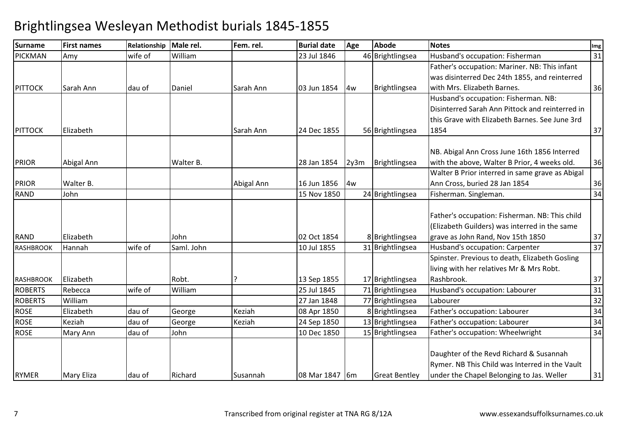| Surname          | <b>First names</b> | Relationship Male rel. |            | Fem. rel.  | <b>Burial date</b> | Age  | <b>Abode</b>         | <b>Notes</b>                                    | Img |
|------------------|--------------------|------------------------|------------|------------|--------------------|------|----------------------|-------------------------------------------------|-----|
| <b>PICKMAN</b>   | Amy                | wife of                | William    |            | 23 Jul 1846        |      | 46 Brightlingsea     | Husband's occupation: Fisherman                 | 31  |
|                  |                    |                        |            |            |                    |      |                      | Father's occupation: Mariner. NB: This infant   |     |
|                  |                    |                        |            |            |                    |      |                      | was disinterred Dec 24th 1855, and reinterred   |     |
| <b>PITTOCK</b>   | Sarah Ann          | dau of                 | Daniel     | Sarah Ann  | 03 Jun 1854        | 4w   | Brightlingsea        | with Mrs. Elizabeth Barnes.                     | 36  |
|                  |                    |                        |            |            |                    |      |                      | Husband's occupation: Fisherman. NB:            |     |
|                  |                    |                        |            |            |                    |      |                      | Disinterred Sarah Ann Pittock and reinterred in |     |
|                  |                    |                        |            |            |                    |      |                      | this Grave with Elizabeth Barnes. See June 3rd  |     |
| <b>PITTOCK</b>   | Elizabeth          |                        |            | Sarah Ann  | 24 Dec 1855        |      | 56 Brightlingsea     | 1854                                            | 37  |
|                  |                    |                        |            |            |                    |      |                      | NB. Abigal Ann Cross June 16th 1856 Interred    |     |
| <b>PRIOR</b>     | Abigal Ann         |                        | Walter B.  |            | 28 Jan 1854        | 2y3m | Brightlingsea        | with the above, Walter B Prior, 4 weeks old.    | 36  |
|                  |                    |                        |            |            |                    |      |                      | Walter B Prior interred in same grave as Abigal |     |
| <b>PRIOR</b>     | Walter B.          |                        |            | Abigal Ann | 16 Jun 1856        | 4w   |                      | Ann Cross, buried 28 Jan 1854                   | 36  |
| <b>RAND</b>      | John               |                        |            |            | 15 Nov 1850        |      | 24 Brightlingsea     | Fisherman. Singleman.                           | 34  |
|                  |                    |                        |            |            |                    |      |                      |                                                 |     |
|                  |                    |                        |            |            |                    |      |                      | Father's occupation: Fisherman. NB: This child  |     |
|                  |                    |                        |            |            |                    |      |                      | (Elizabeth Guilders) was interred in the same   |     |
| <b>RAND</b>      | Elizabeth          |                        | John       |            | 02 Oct 1854        |      | 8 Brightlingsea      | grave as John Rand, Nov 15th 1850               | 37  |
| <b>RASHBROOK</b> | Hannah             | wife of                | Saml. John |            | 10 Jul 1855        |      | 31 Brightlingsea     | Husband's occupation: Carpenter                 | 37  |
|                  |                    |                        |            |            |                    |      |                      | Spinster. Previous to death, Elizabeth Gosling  |     |
|                  |                    |                        |            |            |                    |      |                      | living with her relatives Mr & Mrs Robt.        |     |
| <b>RASHBROOK</b> | Elizabeth          |                        | Robt.      |            | 13 Sep 1855        |      | 17 Brightlingsea     | Rashbrook.                                      | 37  |
| <b>ROBERTS</b>   | Rebecca            | wife of                | William    |            | 25 Jul 1845        |      | 71 Brightlingsea     | Husband's occupation: Labourer                  | 31  |
| <b>ROBERTS</b>   | William            |                        |            |            | 27 Jan 1848        |      | 77 Brightlingsea     | Labourer                                        | 32  |
| <b>ROSE</b>      | Elizabeth          | dau of                 | George     | Keziah     | 08 Apr 1850        |      | 8 Brightlingsea      | Father's occupation: Labourer                   | 34  |
| <b>ROSE</b>      | Keziah             | dau of                 | George     | Keziah     | 24 Sep 1850        |      | 13 Brightlingsea     | Father's occupation: Labourer                   | 34  |
| <b>ROSE</b>      | Mary Ann           | dau of                 | John       |            | 10 Dec 1850        |      | 15 Brightlingsea     | Father's occupation: Wheelwright                | 34  |
|                  |                    |                        |            |            |                    |      |                      | Daughter of the Revd Richard & Susannah         |     |
|                  |                    |                        |            |            |                    |      |                      | Rymer. NB This Child was Interred in the Vault  |     |
| <b>RYMER</b>     | <b>Mary Eliza</b>  | dau of                 | Richard    | Susannah   | 08 Mar 1847 6m     |      | <b>Great Bentley</b> | under the Chapel Belonging to Jas. Weller       | 31  |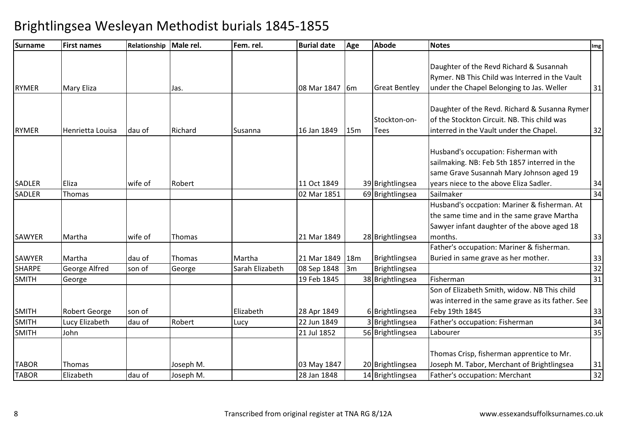| <b>Surname</b> | <b>First names</b>   | Relationship Male rel. |           | Fem. rel.       | <b>Burial date</b> | Age | <b>Abode</b>         | <b>Notes</b>                                      | Img             |
|----------------|----------------------|------------------------|-----------|-----------------|--------------------|-----|----------------------|---------------------------------------------------|-----------------|
|                |                      |                        |           |                 |                    |     |                      | Daughter of the Revd Richard & Susannah           |                 |
|                |                      |                        |           |                 |                    |     |                      | Rymer. NB This Child was Interred in the Vault    |                 |
| <b>RYMER</b>   |                      |                        |           |                 | 08 Mar 1847        |     | <b>Great Bentley</b> | under the Chapel Belonging to Jas. Weller         | 31              |
|                | <b>Mary Eliza</b>    |                        | Jas.      |                 |                    | 16m |                      |                                                   |                 |
|                |                      |                        |           |                 |                    |     |                      | Daughter of the Revd. Richard & Susanna Rymer     |                 |
|                |                      |                        |           |                 |                    |     | Stockton-on-         | of the Stockton Circuit. NB. This child was       |                 |
| <b>RYMER</b>   | Henrietta Louisa     | dau of                 | Richard   | Susanna         | 16 Jan 1849        | 15m | <b>Tees</b>          | interred in the Vault under the Chapel.           | 32              |
|                |                      |                        |           |                 |                    |     |                      |                                                   |                 |
|                |                      |                        |           |                 |                    |     |                      | Husband's occupation: Fisherman with              |                 |
|                |                      |                        |           |                 |                    |     |                      | sailmaking. NB: Feb 5th 1857 interred in the      |                 |
|                |                      |                        |           |                 |                    |     |                      | same Grave Susannah Mary Johnson aged 19          |                 |
| <b>SADLER</b>  | Eliza                | wife of                | Robert    |                 | 11 Oct 1849        |     | 39 Brightlingsea     | years niece to the above Eliza Sadler.            | 34              |
| SADLER         | Thomas               |                        |           |                 | 02 Mar 1851        |     | 69 Brightlingsea     | Sailmaker                                         | 34              |
|                |                      |                        |           |                 |                    |     |                      | Husband's occpation: Mariner & fisherman. At      |                 |
|                |                      |                        |           |                 |                    |     |                      | the same time and in the same grave Martha        |                 |
|                |                      |                        |           |                 |                    |     |                      | Sawyer infant daughter of the above aged 18       |                 |
| <b>SAWYER</b>  | Martha               | wife of                | Thomas    |                 | 21 Mar 1849        |     | 28 Brightlingsea     | months.                                           | 33              |
|                |                      |                        |           |                 |                    |     |                      | Father's occupation: Mariner & fisherman.         |                 |
| <b>SAWYER</b>  | Martha               | dau of                 | Thomas    | Martha          | 21 Mar 1849        | 18m | Brightlingsea        | Buried in same grave as her mother.               | 33              |
| <b>SHARPE</b>  | <b>George Alfred</b> | son of                 | George    | Sarah Elizabeth | 08 Sep 1848        | 3m  | Brightlingsea        |                                                   | 32              |
| <b>SMITH</b>   | George               |                        |           |                 | 19 Feb 1845        |     | 38 Brightlingsea     | Fisherman                                         | 31              |
|                |                      |                        |           |                 |                    |     |                      | Son of Elizabeth Smith, widow. NB This child      |                 |
|                |                      |                        |           |                 |                    |     |                      | was interred in the same grave as its father. See |                 |
| <b>SMITH</b>   | Robert George        | son of                 |           | Elizabeth       | 28 Apr 1849        |     | 6 Brightlingsea      | Feby 19th 1845                                    | 33              |
| <b>SMITH</b>   | Lucy Elizabeth       | dau of                 | Robert    | Lucy            | 22 Jun 1849        |     | 3 Brightlingsea      | Father's occupation: Fisherman                    | 34              |
| <b>SMITH</b>   | John                 |                        |           |                 | 21 Jul 1852        |     | 56 Brightlingsea     | Labourer                                          | 35              |
|                |                      |                        |           |                 |                    |     |                      |                                                   |                 |
|                |                      |                        |           |                 |                    |     |                      | Thomas Crisp, fisherman apprentice to Mr.         |                 |
| <b>TABOR</b>   | Thomas               |                        | Joseph M. |                 | 03 May 1847        |     | 20 Brightlingsea     | Joseph M. Tabor, Merchant of Brightlingsea        | 31              |
| <b>TABOR</b>   | Elizabeth            | dau of                 | Joseph M. |                 | 28 Jan 1848        |     | 14 Brightlingsea     | Father's occupation: Merchant                     | $\overline{32}$ |